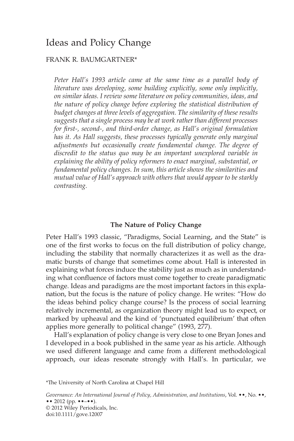# Ideas and Policy Change

# FRANK R. BAUMGARTNER\*

*Peter Hall's 1993 article came at the same time as a parallel body of literature was developing, some building explicitly, some only implicitly, on similar ideas. I review some literature on policy communities, ideas, and the nature of policy change before exploring the statistical distribution of budget changes at three levels of aggregation. The similarity of these results suggests that a single process may be at work rather than different processes for first-, second-, and third-order change, as Hall's original formulation has it. As Hall suggests, these processes typically generate only marginal adjustments but occasionally create fundamental change. The degree of discredit to the status quo may be an important unexplored variable in explaining the ability of policy reformers to enact marginal, substantial, or fundamental policy changes. In sum, this article shows the similarities and mutual value of Hall's approach with others that would appear to be starkly contrasting.*

# **The Nature of Policy Change**

Peter Hall's 1993 classic, "Paradigms, Social Learning, and the State" is one of the first works to focus on the full distribution of policy change, including the stability that normally characterizes it as well as the dramatic bursts of change that sometimes come about. Hall is interested in explaining what forces induce the stability just as much as in understanding what confluence of factors must come together to create paradigmatic change. Ideas and paradigms are the most important factors in this explanation, but the focus is the nature of policy change. He writes: "How do the ideas behind policy change course? Is the process of social learning relatively incremental, as organization theory might lead us to expect, or marked by upheaval and the kind of 'punctuated equilibrium' that often applies more generally to political change" (1993, 277).

Hall's explanation of policy change is very close to one Bryan Jones and I developed in a book published in the same year as his article. Although we used different language and came from a different methodological approach, our ideas resonate strongly with Hall's. In particular, we

\*The University of North Carolina at Chapel Hill

*Governance: An International Journal of Policy, Administration, and Institutions*, Vol. ••, No. ••, •• 2012 (pp. ••–••). © 2012 Wiley Periodicals, Inc. doi:10.1111/gove.12007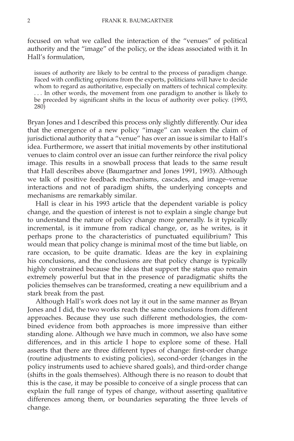focused on what we called the interaction of the "venues" of political authority and the "image" of the policy, or the ideas associated with it. In Hall's formulation,

issues of authority are likely to be central to the process of paradigm change. Faced with conflicting opinions from the experts, politicians will have to decide whom to regard as authoritative, especially on matters of technical complexity. . . . In other words, the movement from one paradigm to another is likely to be preceded by significant shifts in the locus of authority over policy. (1993, 280)

Bryan Jones and I described this process only slightly differently. Our idea that the emergence of a new policy "image" can weaken the claim of jurisdictional authority that a "venue" has over an issue is similar to Hall's idea. Furthermore, we assert that initial movements by other institutional venues to claim control over an issue can further reinforce the rival policy image. This results in a snowball process that leads to the same result that Hall describes above (Baumgartner and Jones 1991, 1993). Although we talk of positive feedback mechanisms, cascades, and image–venue interactions and not of paradigm shifts, the underlying concepts and mechanisms are remarkably similar.

Hall is clear in his 1993 article that the dependent variable is policy change, and the question of interest is not to explain a single change but to understand the nature of policy change more generally. Is it typically incremental, is it immune from radical change, or, as he writes, is it perhaps prone to the characteristics of punctuated equilibrium? This would mean that policy change is minimal most of the time but liable, on rare occasion, to be quite dramatic. Ideas are the key in explaining his conclusions, and the conclusions are that policy change is typically highly constrained because the ideas that support the status quo remain extremely powerful but that in the presence of paradigmatic shifts the policies themselves can be transformed, creating a new equilibrium and a stark break from the past.

Although Hall's work does not lay it out in the same manner as Bryan Jones and I did, the two works reach the same conclusions from different approaches. Because they use such different methodologies, the combined evidence from both approaches is more impressive than either standing alone. Although we have much in common, we also have some differences, and in this article I hope to explore some of these. Hall asserts that there are three different types of change: first-order change (routine adjustments to existing policies), second-order (changes in the policy instruments used to achieve shared goals), and third-order change (shifts in the goals themselves). Although there is no reason to doubt that this is the case, it may be possible to conceive of a single process that can explain the full range of types of change, without asserting qualitative differences among them, or boundaries separating the three levels of change.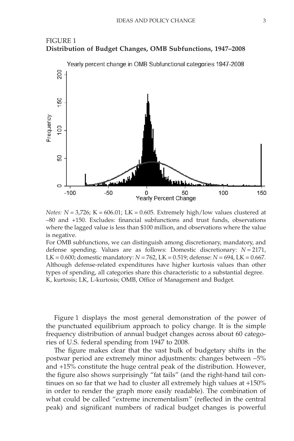



*Notes: N* =  $3,726$ ; K =  $606.01$ ; LK = 0.605. Extremely high/low values clustered at –80 and +150. Excludes: financial subfunctions and trust funds, observations where the lagged value is less than \$100 million, and observations where the value is negative.

For OMB subfunctions, we can distinguish among discretionary, mandatory, and defense spending. Values are as follows: Domestic discretionary: *N* = 2171, LK = 0.600; domestic mandatory: *N* = 762, LK = 0.519; defense: *N* = 694, LK = 0.667. Although defense-related expenditures have higher kurtosis values than other types of spending, all categories share this characteristic to a substantial degree. K, kurtosis; LK, L-kurtosis; OMB, Office of Management and Budget.

Figure 1 displays the most general demonstration of the power of the punctuated equilibrium approach to policy change. It is the simple frequency distribution of annual budget changes across about 60 categories of U.S. federal spending from 1947 to 2008.

The figure makes clear that the vast bulk of budgetary shifts in the postwar period are extremely minor adjustments: changes between -5% and +15% constitute the huge central peak of the distribution. However, the figure also shows surprisingly "fat tails" (and the right-hand tail continues on so far that we had to cluster all extremely high values at +150% in order to render the graph more easily readable). The combination of what could be called "extreme incrementalism" (reflected in the central peak) and significant numbers of radical budget changes is powerful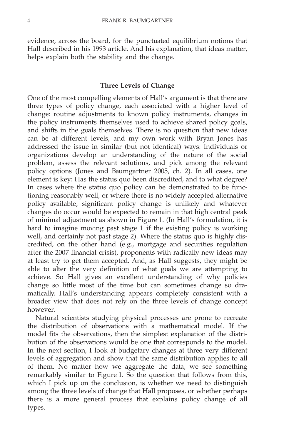evidence, across the board, for the punctuated equilibrium notions that Hall described in his 1993 article. And his explanation, that ideas matter, helps explain both the stability and the change.

# **Three Levels of Change**

One of the most compelling elements of Hall's argument is that there are three types of policy change, each associated with a higher level of change: routine adjustments to known policy instruments, changes in the policy instruments themselves used to achieve shared policy goals, and shifts in the goals themselves. There is no question that new ideas can be at different levels, and my own work with Bryan Jones has addressed the issue in similar (but not identical) ways: Individuals or organizations develop an understanding of the nature of the social problem, assess the relevant solutions, and pick among the relevant policy options (Jones and Baumgartner 2005, ch. 2). In all cases, one element is key: Has the status quo been discredited, and to what degree? In cases where the status quo policy can be demonstrated to be functioning reasonably well, or where there is no widely accepted alternative policy available, significant policy change is unlikely and whatever changes do occur would be expected to remain in that high central peak of minimal adjustment as shown in Figure 1. (In Hall's formulation, it is hard to imagine moving past stage  $1$  if the existing policy is working well, and certainly not past stage 2). Where the status quo is highly discredited, on the other hand (e.g., mortgage and securities regulation after the 2007 financial crisis), proponents with radically new ideas may at least try to get them accepted. And, as Hall suggests, they might be able to alter the very definition of what goals we are attempting to achieve. So Hall gives an excellent understanding of why policies change so little most of the time but can sometimes change so dramatically. Hall's understanding appears completely consistent with a broader view that does not rely on the three levels of change concept however.

Natural scientists studying physical processes are prone to recreate the distribution of observations with a mathematical model. If the model fits the observations, then the simplest explanation of the distribution of the observations would be one that corresponds to the model. In the next section, I look at budgetary changes at three very different levels of aggregation and show that the same distribution applies to all of them. No matter how we aggregate the data, we see something remarkably similar to Figure 1. So the question that follows from this, which I pick up on the conclusion, is whether we need to distinguish among the three levels of change that Hall proposes, or whether perhaps there is a more general process that explains policy change of all types.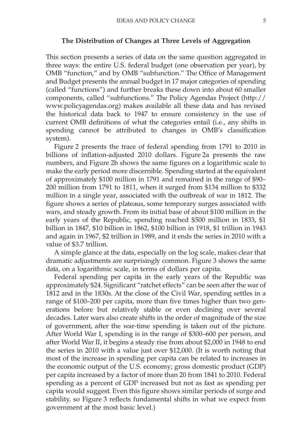# **The Distribution of Changes at Three Levels of Aggregation**

This section presents a series of data on the same question aggregated in three ways: the entire U.S. federal budget (one observation per year), by OMB "function," and by OMB "subfunction." The Office of Management and Budget presents the annual budget in 17 major categories of spending (called "functions") and further breaks these down into about 60 smaller components, called "subfunctions." The Policy Agendas Project (http:// www.policyagendas.org) makes available all these data and has revised the historical data back to 1947 to ensure consistency in the use of current OMB definitions of what the categories entail (i.e., any shifts in spending cannot be attributed to changes in OMB's classification system).

Figure 2 presents the trace of federal spending from 1791 to 2010 in billions of inflation-adjusted 2010 dollars. Figure 2a presents the raw numbers, and Figure 2b shows the same figures on a logarithmic scale to make the early period more discernible. Spending started at the equivalent of approximately \$100 million in 1791 and remained in the range of \$90– 200 million from 1791 to 1811, when it surged from \$134 million to \$332 million in a single year, associated with the outbreak of war in 1812. The figure shows a series of plateaus, some temporary surges associated with wars, and steady growth. From its initial base of about \$100 million in the early years of the Republic, spending reached \$500 million in 1833, \$1 billion in 1847, \$10 billion in 1862, \$100 billion in 1918, \$1 trillion in 1943 and again in 1967, \$2 trillion in 1989, and it ends the series in 2010 with a value of \$3.7 trillion.

A simple glance at the data, especially on the log scale, makes clear that dramatic adjustments are surprisingly common. Figure 3 shows the same data, on a logarithmic scale, in terms of dollars per capita.

Federal spending per capita in the early years of the Republic was approximately \$24. Significant "ratchet effects" can be seen after the war of 1812 and in the 1830s. At the close of the Civil War, spending settles in a range of \$100–200 per capita, more than five times higher than two generations before but relatively stable or even declining over several decades. Later wars also create shifts in the order of magnitude of the size of government, after the war-time spending is taken out of the picture. After World War I, spending is in the range of \$300–600 per person, and after World War II, it begins a steady rise from about \$2,000 in 1948 to end the series in 2010 with a value just over \$12,000. (It is worth noting that most of the increase in spending per capita can be related to increases in the economic output of the U.S. economy; gross domestic product (GDP) per capita increased by a factor of more than 20 from 1841 to 2010. Federal spending as a percent of GDP increased but not as fast as spending per capita would suggest. Even this figure shows similar periods of surge and stability, so Figure 3 reflects fundamental shifts in what we expect from government at the most basic level.)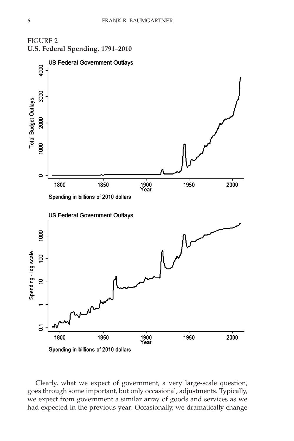

Clearly, what we expect of government, a very large-scale question, goes through some important, but only occasional, adjustments. Typically, we expect from government a similar array of goods and services as we had expected in the previous year. Occasionally, we dramatically change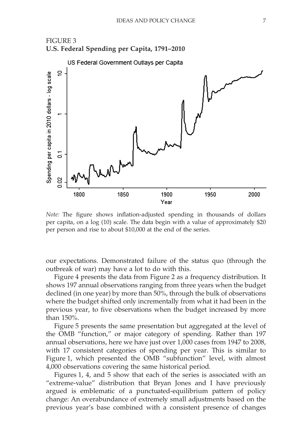

*Note:* The figure shows inflation-adjusted spending in thousands of dollars per capita, on a log (10) scale. The data begin with a value of approximately \$20 per person and rise to about \$10,000 at the end of the series.

our expectations. Demonstrated failure of the status quo (through the outbreak of war) may have a lot to do with this.

Figure 4 presents the data from Figure 2 as a frequency distribution. It shows 197 annual observations ranging from three years when the budget declined (in one year) by more than 50%, through the bulk of observations where the budget shifted only incrementally from what it had been in the previous year, to five observations when the budget increased by more than 150%.

Figure 5 presents the same presentation but aggregated at the level of the OMB "function," or major category of spending. Rather than 197 annual observations, here we have just over 1,000 cases from 1947 to 2008, with 17 consistent categories of spending per year. This is similar to Figure 1, which presented the OMB "subfunction" level, with almost 4,000 observations covering the same historical period.

Figures 1, 4, and 5 show that each of the series is associated with an "extreme-value" distribution that Bryan Jones and I have previously argued is emblematic of a punctuated-equilibrium pattern of policy change: An overabundance of extremely small adjustments based on the previous year's base combined with a consistent presence of changes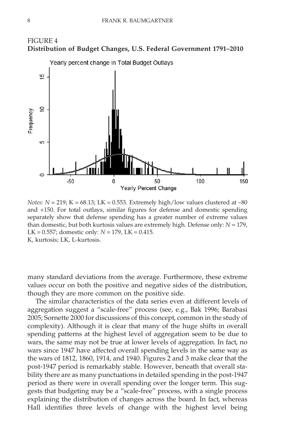

*Notes: N* = 219; K = 68.13; LK = 0.553. Extremely high/low values clustered at –80 and +150. For total outlays, similar figures for defense and domestic spending separately show that defense spending has a greater number of extreme values than domestic, but both kurtosis values are extremely high. Defense only: *N* = 179, LK =  $0.557$ ; domestic only:  $N = 179$ , LK =  $0.415$ . K, kurtosis; LK, L-kurtosis.

50

Yearly Percent Change

100

150

 $\bf{0}$ 

many standard deviations from the average. Furthermore, these extreme values occur on both the positive and negative sides of the distribution, though they are more common on the positive side.

The similar characteristics of the data series even at different levels of aggregation suggest a "scale-free" process (see, e.g., Bak 1996; Barabasi 2005; Sornette 2000 for discussions of this concept, common in the study of complexity). Although it is clear that many of the huge shifts in overall spending patterns at the highest level of aggregation seem to be due to wars, the same may not be true at lower levels of aggregation. In fact, no wars since 1947 have affected overall spending levels in the same way as the wars of 1812, 1860, 1914, and 1940. Figures 2 and 3 make clear that the post-1947 period is remarkably stable. However, beneath that overall stability there are as many punctuations in detailed spending in the post-1947 period as there were in overall spending over the longer term. This suggests that budgeting may be a "scale-free" process, with a single process explaining the distribution of changes across the board. In fact, whereas Hall identifies three levels of change with the highest level being

S

 $-50$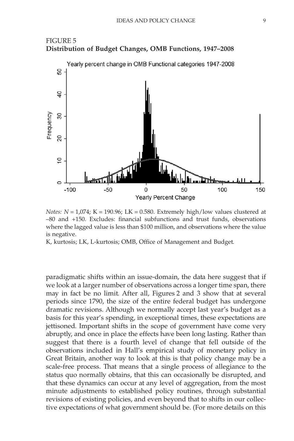



*Notes: N* = 1,074; K = 190.96; LK = 0.580. Extremely high/low values clustered at –80 and +150. Excludes: financial subfunctions and trust funds, observations where the lagged value is less than \$100 million, and observations where the value is negative.

K, kurtosis; LK, L-kurtosis; OMB, Office of Management and Budget.

paradigmatic shifts within an issue-domain, the data here suggest that if we look at a larger number of observations across a longer time span, there may in fact be no limit. After all, Figures 2 and 3 show that at several periods since 1790, the size of the entire federal budget has undergone dramatic revisions. Although we normally accept last year's budget as a basis for this year's spending, in exceptional times, these expectations are jettisoned. Important shifts in the scope of government have come very abruptly, and once in place the effects have been long lasting. Rather than suggest that there is a fourth level of change that fell outside of the observations included in Hall's empirical study of monetary policy in Great Britain, another way to look at this is that policy change may be a scale-free process. That means that a single process of allegiance to the status quo normally obtains, that this can occasionally be disrupted, and that these dynamics can occur at any level of aggregation, from the most minute adjustments to established policy routines, through substantial revisions of existing policies, and even beyond that to shifts in our collective expectations of what government should be. (For more details on this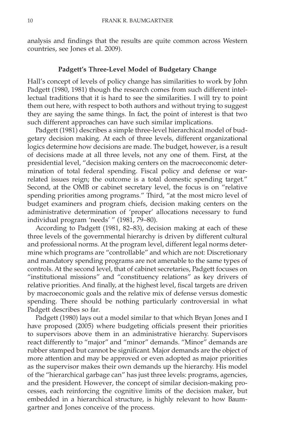analysis and findings that the results are quite common across Western countries, see Jones et al. 2009).

# **Padgett's Three-Level Model of Budgetary Change**

Hall's concept of levels of policy change has similarities to work by John Padgett (1980, 1981) though the research comes from such different intellectual traditions that it is hard to see the similarities. I will try to point them out here, with respect to both authors and without trying to suggest they are saying the same things. In fact, the point of interest is that two such different approaches can have such similar implications.

Padgett (1981) describes a simple three-level hierarchical model of budgetary decision making. At each of three levels, different organizational logics determine how decisions are made. The budget, however, is a result of decisions made at all three levels, not any one of them. First, at the presidential level, "decision making centers on the macroeconomic determination of total federal spending. Fiscal policy and defense or warrelated issues reign; the outcome is a total domestic spending target." Second, at the OMB or cabinet secretary level, the focus is on "relative spending priorities among programs." Third, "at the most micro level of budget examiners and program chiefs, decision making centers on the administrative determination of 'proper' allocations necessary to fund individual program 'needs' " (1981, 79–80).

According to Padgett (1981, 82–83), decision making at each of these three levels of the governmental hierarchy is driven by different cultural and professional norms. At the program level, different legal norms determine which programs are "controllable" and which are not: Discretionary and mandatory spending programs are not amenable to the same types of controls. At the second level, that of cabinet secretaries, Padgett focuses on "institutional missions" and "constituency relations" as key drivers of relative priorities. And finally, at the highest level, fiscal targets are driven by macroeconomic goals and the relative mix of defense versus domestic spending. There should be nothing particularly controversial in what Padgett describes so far.

Padgett (1980) lays out a model similar to that which Bryan Jones and I have proposed (2005) where budgeting officials present their priorities to supervisors above them in an administrative hierarchy. Supervisors react differently to "major" and "minor" demands. "Minor" demands are rubber stamped but cannot be significant. Major demands are the object of more attention and may be approved or even adopted as major priorities as the supervisor makes their own demands up the hierarchy. His model of the "hierarchical garbage can" has just three levels: programs, agencies, and the president. However, the concept of similar decision-making processes, each reinforcing the cognitive limits of the decision maker, but embedded in a hierarchical structure, is highly relevant to how Baumgartner and Jones conceive of the process.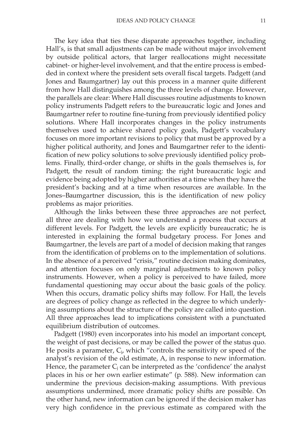The key idea that ties these disparate approaches together, including Hall's, is that small adjustments can be made without major involvement by outside political actors, that larger reallocations might necessitate cabinet- or higher-level involvement, and that the entire process is embedded in context where the president sets overall fiscal targets. Padgett (and Jones and Baumgartner) lay out this process in a manner quite different from how Hall distinguishes among the three levels of change. However, the parallels are clear: Where Hall discusses routine adjustments to known policy instruments Padgett refers to the bureaucratic logic and Jones and Baumgartner refer to routine fine-tuning from previously identified policy solutions. Where Hall incorporates changes in the policy instruments themselves used to achieve shared policy goals, Padgett's vocabulary focuses on more important revisions to policy that must be approved by a higher political authority, and Jones and Baumgartner refer to the identification of new policy solutions to solve previously identified policy problems. Finally, third-order change, or shifts in the goals themselves is, for Padgett, the result of random timing: the right bureaucratic logic and evidence being adopted by higher authorities at a time when they have the president's backing and at a time when resources are available. In the Jones–Baumgartner discussion, this is the identification of new policy problems as major priorities.

Although the links between these three approaches are not perfect, all three are dealing with how we understand a process that occurs at different levels. For Padgett, the levels are explicitly bureaucratic; he is interested in explaining the formal budgetary process. For Jones and Baumgartner, the levels are part of a model of decision making that ranges from the identification of problems on to the implementation of solutions. In the absence of a perceived "crisis," routine decision making dominates, and attention focuses on only marginal adjustments to known policy instruments. However, when a policy is perceived to have failed, more fundamental questioning may occur about the basic goals of the policy. When this occurs, dramatic policy shifts may follow. For Hall, the levels are degrees of policy change as reflected in the degree to which underlying assumptions about the structure of the policy are called into question. All three approaches lead to implications consistent with a punctuated equilibrium distribution of outcomes.

Padgett (1980) even incorporates into his model an important concept, the weight of past decisions, or may be called the power of the status quo. He posits a parameter,  $C_i$ , which "controls the sensitivity or speed of the analyst's revision of the old estimate, A, in response to new information. Hence, the parameter  $C_i$  can be interpreted as the 'confidence' the analyst places in his or her own earlier estimate" (p. 588). New information can undermine the previous decision-making assumptions. With previous assumptions undermined, more dramatic policy shifts are possible. On the other hand, new information can be ignored if the decision maker has very high confidence in the previous estimate as compared with the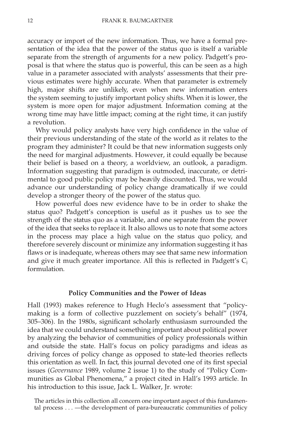accuracy or import of the new information. Thus, we have a formal presentation of the idea that the power of the status quo is itself a variable separate from the strength of arguments for a new policy. Padgett's proposal is that where the status quo is powerful, this can be seen as a high value in a parameter associated with analysts' assessments that their previous estimates were highly accurate. When that parameter is extremely high, major shifts are unlikely, even when new information enters the system seeming to justify important policy shifts. When it is lower, the system is more open for major adjustment. Information coming at the wrong time may have little impact; coming at the right time, it can justify a revolution.

Why would policy analysts have very high confidence in the value of their previous understanding of the state of the world as it relates to the program they administer? It could be that new information suggests only the need for marginal adjustments. However, it could equally be because their belief is based on a theory, a worldview, an outlook, a paradigm. Information suggesting that paradigm is outmoded, inaccurate, or detrimental to good public policy may be heavily discounted. Thus, we would advance our understanding of policy change dramatically if we could develop a stronger theory of the power of the status quo.

How powerful does new evidence have to be in order to shake the status quo? Padgett's conception is useful as it pushes us to see the strength of the status quo as a variable, and one separate from the power of the idea that seeks to replace it. It also allows us to note that some actors in the process may place a high value on the status quo policy, and therefore severely discount or minimize any information suggesting it has flaws or is inadequate, whereas others may see that same new information and give it much greater importance. All this is reflected in Padgett's  $C_i$ formulation.

#### **Policy Communities and the Power of Ideas**

Hall (1993) makes reference to Hugh Heclo's assessment that "policymaking is a form of collective puzzlement on society's behalf" (1974, 305–306). In the 1980s, significant scholarly enthusiasm surrounded the idea that we could understand something important about political power by analyzing the behavior of communities of policy professionals within and outside the state. Hall's focus on policy paradigms and ideas as driving forces of policy change as opposed to state-led theories reflects this orientation as well. In fact, this journal devoted one of its first special issues (*Governance* 1989, volume 2 issue 1) to the study of "Policy Communities as Global Phenomena," a project cited in Hall's 1993 article. In his introduction to this issue, Jack L. Walker, Jr. wrote:

The articles in this collection all concern one important aspect of this fundamental process . . . —the development of para-bureaucratic communities of policy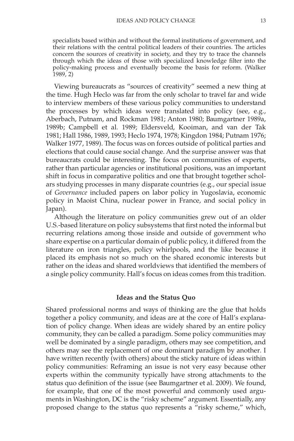specialists based within and without the formal institutions of government, and their relations with the central political leaders of their countries. The articles concern the sources of creativity in society, and they try to trace the channels through which the ideas of those with specialized knowledge filter into the policy-making process and eventually become the basis for reform. (Walker 1989, 2)

Viewing bureaucrats as "sources of creativity" seemed a new thing at the time. Hugh Heclo was far from the only scholar to travel far and wide to interview members of these various policy communities to understand the processes by which ideas were translated into policy (see, e.g., Aberbach, Putnam, and Rockman 1981; Anton 1980; Baumgartner 1989a, 1989b; Campbell et al. 1989; Eldersveld, Kooiman, and van der Tak 1981; Hall 1986, 1989, 1993; Heclo 1974, 1978; Kingdon 1984; Putnam 1976; Walker 1977, 1989). The focus was on forces outside of political parties and elections that could cause social change. And the surprise answer was that bureaucrats could be interesting. The focus on communities of experts, rather than particular agencies or institutional positions, was an important shift in focus in comparative politics and one that brought together scholars studying processes in many disparate countries (e.g., our special issue of *Governance* included papers on labor policy in Yugoslavia, economic policy in Maoist China, nuclear power in France, and social policy in Japan).

Although the literature on policy communities grew out of an older U.S.-based literature on policy subsystems that first noted the informal but recurring relations among those inside and outside of government who share expertise on a particular domain of public policy, it differed from the literature on iron triangles, policy whirlpools, and the like because it placed its emphasis not so much on the shared economic interests but rather on the ideas and shared worldviews that identified the members of a single policy community. Hall's focus on ideas comes from this tradition.

#### **Ideas and the Status Quo**

Shared professional norms and ways of thinking are the glue that holds together a policy community, and ideas are at the core of Hall's explanation of policy change. When ideas are widely shared by an entire policy community, they can be called a paradigm. Some policy communities may well be dominated by a single paradigm, others may see competition, and others may see the replacement of one dominant paradigm by another. I have written recently (with others) about the sticky nature of ideas within policy communities: Reframing an issue is not very easy because other experts within the community typically have strong attachments to the status quo definition of the issue (see Baumgartner et al. 2009). We found, for example, that one of the most powerful and commonly used arguments in Washington, DC is the "risky scheme" argument. Essentially, any proposed change to the status quo represents a "risky scheme," which,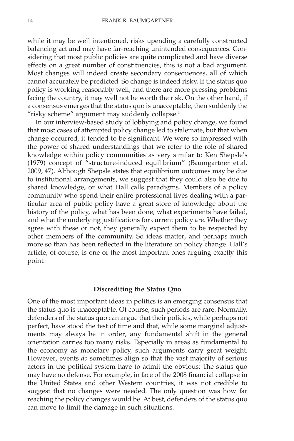while it may be well intentioned, risks upending a carefully constructed balancing act and may have far-reaching unintended consequences. Considering that most public policies are quite complicated and have diverse effects on a great number of constituencies, this is not a bad argument. Most changes will indeed create secondary consequences, all of which cannot accurately be predicted. So change is indeed risky. If the status quo policy is working reasonably well, and there are more pressing problems facing the country, it may well not be worth the risk. On the other hand, if a consensus emerges that the status quo is unacceptable, then suddenly the "risky scheme" argument may suddenly collapse.<sup>1</sup>

In our interview-based study of lobbying and policy change, we found that most cases of attempted policy change led to stalemate, but that when change occurred, it tended to be significant. We were so impressed with the power of shared understandings that we refer to the role of shared knowledge within policy communities as very similar to Ken Shepsle's (1979) concept of "structure-induced equilibrium" (Baumgartner et al. 2009, 47). Although Shepsle states that equilibrium outcomes may be due to institutional arrangements, we suggest that they could also be due to shared knowledge, or what Hall calls paradigms. Members of a policy community who spend their entire professional lives dealing with a particular area of public policy have a great store of knowledge about the history of the policy, what has been done, what experiments have failed, and what the underlying justifications for current policy are. Whether they agree with these or not, they generally expect them to be respected by other members of the community. So ideas matter, and perhaps much more so than has been reflected in the literature on policy change. Hall's article, of course, is one of the most important ones arguing exactly this point.

#### **Discrediting the Status Quo**

One of the most important ideas in politics is an emerging consensus that the status quo is unacceptable. Of course, such periods are rare. Normally, defenders of the status quo can argue that their policies, while perhaps not perfect, have stood the test of time and that, while some marginal adjustments may always be in order, any fundamental shift in the general orientation carries too many risks. Especially in areas as fundamental to the economy as monetary policy, such arguments carry great weight. However, events *do* sometimes align so that the vast majority of serious actors in the political system have to admit the obvious: The status quo may have no defense. For example, in face of the 2008 financial collapse in the United States and other Western countries, it was not credible to suggest that no changes were needed. The only question was how far reaching the policy changes would be. At best, defenders of the status quo can move to limit the damage in such situations.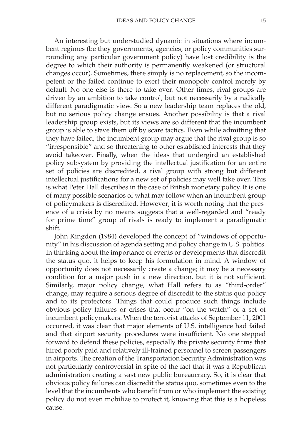An interesting but understudied dynamic in situations where incumbent regimes (be they governments, agencies, or policy communities surrounding any particular government policy) have lost credibility is the degree to which their authority is permanently weakened (or structural changes occur). Sometimes, there simply is no replacement, so the incompetent or the failed continue to exert their monopoly control merely by default. No one else is there to take over. Other times, rival groups are driven by an ambition to take control, but not necessarily by a radically different paradigmatic view. So a new leadership team replaces the old, but no serious policy change ensues. Another possibility is that a rival leadership group exists, but its views are so different that the incumbent group is able to stave them off by scare tactics. Even while admitting that they have failed, the incumbent group may argue that the rival group is so "irresponsible" and so threatening to other established interests that they avoid takeover. Finally, when the ideas that undergird an established policy subsystem by providing the intellectual justification for an entire set of policies are discredited, a rival group with strong but different intellectual justifications for a new set of policies may well take over. This is what Peter Hall describes in the case of British monetary policy. It is one of many possible scenarios of what may follow when an incumbent group of policymakers is discredited. However, it is worth noting that the presence of a crisis by no means suggests that a well-regarded and "ready for prime time" group of rivals is ready to implement a paradigmatic shift.

John Kingdon (1984) developed the concept of "windows of opportunity" in his discussion of agenda setting and policy change in U.S. politics. In thinking about the importance of events or developments that discredit the status quo, it helps to keep his formulation in mind. A window of opportunity does not necessarily create a change; it may be a necessary condition for a major push in a new direction, but it is not sufficient. Similarly, major policy change, what Hall refers to as "third-order" change, may require a serious degree of discredit to the status quo policy and to its protectors. Things that could produce such things include obvious policy failures or crises that occur "on the watch" of a set of incumbent policymakers. When the terrorist attacks of September 11, 2001 occurred, it was clear that major elements of U.S. intelligence had failed and that airport security procedures were insufficient. No one stepped forward to defend these policies, especially the private security firms that hired poorly paid and relatively ill-trained personnel to screen passengers in airports. The creation of the Transportation Security Administration was not particularly controversial in spite of the fact that it was a Republican administration creating a vast new public bureaucracy. So, it is clear that obvious policy failures can discredit the status quo, sometimes even to the level that the incumbents who benefit from or who implement the existing policy do not even mobilize to protect it, knowing that this is a hopeless cause.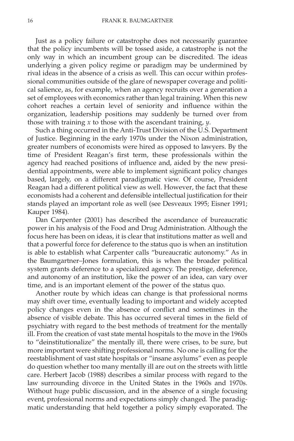Just as a policy failure or catastrophe does not necessarily guarantee that the policy incumbents will be tossed aside, a catastrophe is not the only way in which an incumbent group can be discredited. The ideas underlying a given policy regime or paradigm may be undermined by rival ideas in the absence of a crisis as well. This can occur within professional communities outside of the glare of newspaper coverage and political salience, as, for example, when an agency recruits over a generation a set of employees with economics rather than legal training. When this new cohort reaches a certain level of seniority and influence within the organization, leadership positions may suddenly be turned over from those with training *x* to those with the ascendant training, *y*.

Such a thing occurred in the Anti-Trust Division of the U.S. Department of Justice. Beginning in the early 1970s under the Nixon administration, greater numbers of economists were hired as opposed to lawyers. By the time of President Reagan's first term, these professionals within the agency had reached positions of influence and, aided by the new presidential appointments, were able to implement significant policy changes based, largely, on a different paradigmatic view. Of course, President Reagan had a different political view as well. However, the fact that these economists had a coherent and defensible intellectual justification for their stands played an important role as well (see Desveaux 1995; Eisner 1991; Kauper 1984).

Dan Carpenter (2001) has described the ascendance of bureaucratic power in his analysis of the Food and Drug Administration. Although the focus here has been on ideas, it is clear that institutions matter as well and that a powerful force for deference to the status quo is when an institution is able to establish what Carpenter calls "bureaucratic autonomy." As in the Baumgartner–Jones formulation, this is when the broader political system grants deference to a specialized agency. The prestige, deference, and autonomy of an institution, like the power of an idea, can vary over time, and is an important element of the power of the status quo.

Another route by which ideas can change is that professional norms may shift over time, eventually leading to important and widely accepted policy changes even in the absence of conflict and sometimes in the absence of visible debate. This has occurred several times in the field of psychiatry with regard to the best methods of treatment for the mentally ill. From the creation of vast state mental hospitals to the move in the 1960s to "deinstitutionalize" the mentally ill, there were crises, to be sure, but more important were shifting professional norms. No one is calling for the reestablishment of vast state hospitals or "insane asylums" even as people do question whether too many mentally ill are out on the streets with little care. Herbert Jacob (1988) describes a similar process with regard to the law surrounding divorce in the United States in the 1960s and 1970s. Without huge public discussion, and in the absence of a single focusing event, professional norms and expectations simply changed. The paradigmatic understanding that held together a policy simply evaporated. The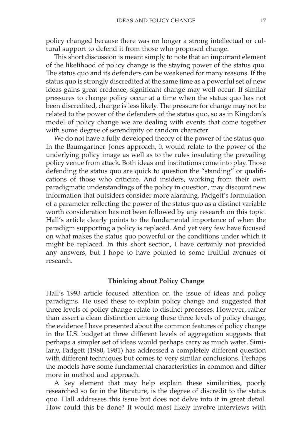policy changed because there was no longer a strong intellectual or cultural support to defend it from those who proposed change.

This short discussion is meant simply to note that an important element of the likelihood of policy change is the staying power of the status quo. The status quo and its defenders can be weakened for many reasons. If the status quo is strongly discredited at the same time as a powerful set of new ideas gains great credence, significant change may well occur. If similar pressures to change policy occur at a time when the status quo has not been discredited, change is less likely. The pressure for change may not be related to the power of the defenders of the status quo, so as in Kingdon's model of policy change we are dealing with events that come together with some degree of serendipity or random character.

We do not have a fully developed theory of the power of the status quo. In the Baumgartner–Jones approach, it would relate to the power of the underlying policy image as well as to the rules insulating the prevailing policy venue from attack. Both ideas and institutions come into play. Those defending the status quo are quick to question the "standing" or qualifications of those who criticize. And insiders, working from their own paradigmatic understandings of the policy in question, may discount new information that outsiders consider more alarming. Padgett's formulation of a parameter reflecting the power of the status quo as a distinct variable worth consideration has not been followed by any research on this topic. Hall's article clearly points to the fundamental importance of when the paradigm supporting a policy is replaced. And yet very few have focused on what makes the status quo powerful or the conditions under which it might be replaced. In this short section, I have certainly not provided any answers, but I hope to have pointed to some fruitful avenues of research.

# **Thinking about Policy Change**

Hall's 1993 article focused attention on the issue of ideas and policy paradigms. He used these to explain policy change and suggested that three levels of policy change relate to distinct processes. However, rather than assert a clean distinction among these three levels of policy change, the evidence I have presented about the common features of policy change in the U.S. budget at three different levels of aggregation suggests that perhaps a simpler set of ideas would perhaps carry as much water. Similarly, Padgett (1980, 1981) has addressed a completely different question with different techniques but comes to very similar conclusions. Perhaps the models have some fundamental characteristics in common and differ more in method and approach.

A key element that may help explain these similarities, poorly researched so far in the literature, is the degree of discredit to the status quo. Hall addresses this issue but does not delve into it in great detail. How could this be done? It would most likely involve interviews with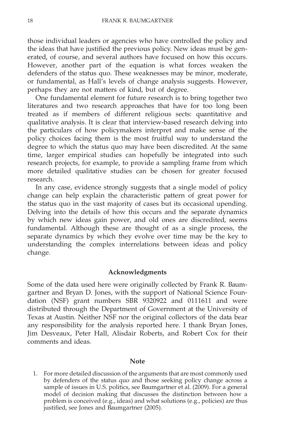those individual leaders or agencies who have controlled the policy and the ideas that have justified the previous policy. New ideas must be generated, of course, and several authors have focused on how this occurs. However, another part of the equation is what forces weaken the defenders of the status quo. These weaknesses may be minor, moderate, or fundamental, as Hall's levels of change analysis suggests. However, perhaps they are not matters of kind, but of degree.

One fundamental element for future research is to bring together two literatures and two research approaches that have for too long been treated as if members of different religious sects: quantitative and qualitative analysis. It is clear that interview-based research delving into the particulars of how policymakers interpret and make sense of the policy choices facing them is the most fruitful way to understand the degree to which the status quo may have been discredited. At the same time, larger empirical studies can hopefully be integrated into such research projects, for example, to provide a sampling frame from which more detailed qualitative studies can be chosen for greater focused research.

In any case, evidence strongly suggests that a single model of policy change can help explain the characteristic pattern of great power for the status quo in the vast majority of cases but its occasional upending. Delving into the details of how this occurs and the separate dynamics by which new ideas gain power, and old ones are discredited, seems fundamental. Although these are thought of as a single process, the separate dynamics by which they evolve over time may be the key to understanding the complex interrelations between ideas and policy change.

# **Acknowledgments**

Some of the data used here were originally collected by Frank R. Baumgartner and Bryan D. Jones, with the support of National Science Foundation (NSF) grant numbers SBR 9320922 and 0111611 and were distributed through the Department of Government at the University of Texas at Austin. Neither NSF nor the original collectors of the data bear any responsibility for the analysis reported here. I thank Bryan Jones, Jim Desveaux, Peter Hall, Alisdair Roberts, and Robert Cox for their comments and ideas.

#### **Note**

1. For more detailed discussion of the arguments that are most commonly used by defenders of the status quo and those seeking policy change across a sample of issues in U.S. politics, see Baumgartner et al. (2009). For a general model of decision making that discusses the distinction between how a problem is conceived (e.g., ideas) and what solutions (e.g., policies) are thus justified, see Jones and Baumgartner (2005).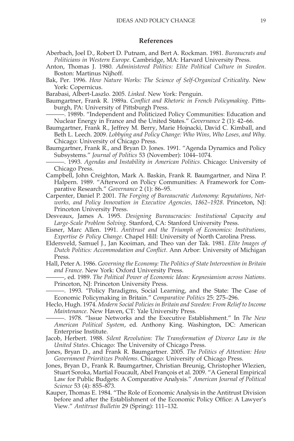## **References**

- Aberbach, Joel D., Robert D. Putnam, and Bert A. Rockman. 1981. *Bureaucrats and Politicians in Western Europe*. Cambridge, MA: Harvard University Press.
- Anton, Thomas J. 1980. *Administered Politics: Elite Political Culture in Sweden*. Boston: Martinus Nijhoff.
- Bak, Per. 1996. *How Nature Works: The Science of Self-Organized Criticality*. New York: Copernicus.
- Barabasi, Albert-Laszlo. 2005. *Linked*. New York: Penguin.
- Baumgartner, Frank R. 1989a. *Conflict and Rhetoric in French Policymaking*. Pittsburgh, PA: University of Pittsburgh Press.
- -. 1989b. "Independent and Politicized Policy Communities: Education and Nuclear Energy in France and the United States." *Governance* 2 (1): 42–66.
- Baumgartner, Frank R., Jeffrey M. Berry, Marie Hojnacki, David C. Kimball, and Beth L. Leech. 2009. *Lobbying and Policy Change: Who Wins, Who Loses, and Why*. Chicago: University of Chicago Press.
- Baumgartner, Frank R., and Bryan D. Jones. 1991. "Agenda Dynamics and Policy Subsystems." *Journal of Politics* 53 (November): 1044–1074.
	- ———. 1993. *Agendas and Instability in American Politics*. Chicago: University of Chicago Press.
- Campbell, John Creighton, Mark A. Baskin, Frank R. Baumgartner, and Nina P. Halpern. 1989. "Afterword on Policy Communities: A Framework for Comparative Research." *Governance* 2 (1): 86–95.
- Carpenter, Daniel P. 2001. *The Forging of Bureaucratic Autonomy: Reputations, Networks, and Policy Innovation in Executive Agencies, 1862–1928*. Princeton, NJ: Princeton University Press.
- Desveaux, James A. 1995. *Designing Bureaucracies: Institutional Capacity and Large-Scale Problem Solving*. Stanford, CA: Stanford University Press.
- Eisner, Marc Allen. 1991. *Antitrust and the Triumph of Economics: Institutions, Expertise & Policy Change*. Chapel Hill: University of North Carolina Press.
- Eldersveld, Samuel J., Jan Kooiman, and Theo van der Tak. 1981. *Elite Images of Dutch Politics: Accommodation and Conflict*. Ann Arbor: University of Michigan Press.
- Hall, Peter A. 1986. *Governing the Economy: The Politics of State Intervention in Britain and France*. New York: Oxford University Press.
- ———, ed. 1989. *The Political Power of Economic Ideas: Keynesianism across Nations*. Princeton, NJ: Princeton University Press.
- ———. 1993. "Policy Paradigms, Social Learning, and the State: The Case of Economic Policymaking in Britain." *Comparative Politics* 25: 275–296.
- Heclo, Hugh. 1974. *Modern Social Policies in Britain and Sweden: From Relief to Income Maintenance*. New Haven, CT: Yale University Press.
	- ———. 1978. "Issue Networks and the Executive Establishment." In *The New American Political System*, ed. Anthony King. Washington, DC: American Enterprise Institute.
- Jacob, Herbert. 1988. *Silent Revolution: The Transformation of Divorce Law in the United States*. Chicago: The University of Chicago Press.
- Jones, Bryan D., and Frank R. Baumgartner. 2005. *The Politics of Attention: How Government Prioritizes Problems*. Chicago: University of Chicago Press.
- Jones, Bryan D., Frank R. Baumgartner, Christian Breunig, Christopher Wlezien, Stuart Soroka, Martial Foucault, Abel François et al. 2009. "A General Empirical Law for Public Budgets: A Comparative Analysis." *American Journal of Political Science* 53 (4): 855–873.
- Kauper, Thomas E. 1984. "The Role of Economic Analysis in the Antitrust Division before and after the Establishment of the Economic Policy Office: A Lawyer's View." *Antitrust Bulletin* 29 (Spring): 111–132.